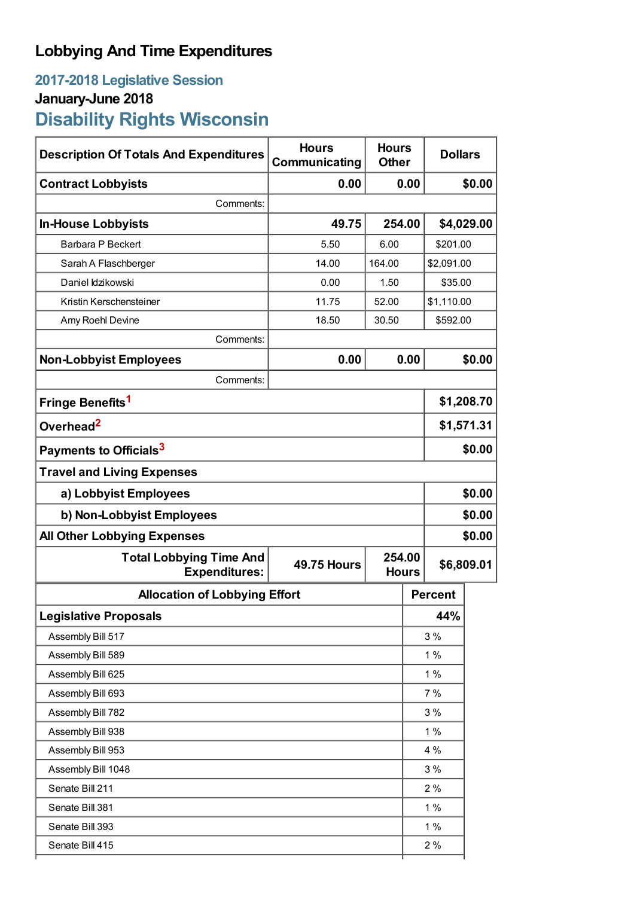# **Lobbying And Time Expenditures**

# **2017-2018 Legislative Session January-June 2018 Disability Rights Wisconsin**

| <b>Description Of Totals And Expenditures</b>          | <b>Hours</b><br>Communicating                | <b>Hours</b><br><b>Other</b> | <b>Dollars</b> |            |  |
|--------------------------------------------------------|----------------------------------------------|------------------------------|----------------|------------|--|
| <b>Contract Lobbyists</b>                              | 0.00                                         | 0.00                         |                | \$0.00     |  |
| Comments:                                              |                                              |                              |                |            |  |
| <b>In-House Lobbyists</b>                              | 49.75                                        | 254.00                       |                | \$4,029.00 |  |
| Barbara P Beckert                                      | 5.50                                         | 6.00                         | \$201.00       |            |  |
| Sarah A Flaschberger                                   | 14.00                                        | 164.00                       |                | \$2,091.00 |  |
| Daniel Idzikowski                                      | 0.00                                         | 1.50                         | \$35.00        |            |  |
| Kristin Kerschensteiner                                | 11.75                                        | 52.00                        | \$1,110.00     |            |  |
| Amy Roehl Devine                                       | 18.50                                        | 30.50                        | \$592.00       |            |  |
| Comments:                                              |                                              |                              |                |            |  |
| <b>Non-Lobbyist Employees</b>                          | 0.00                                         | 0.00                         |                | \$0.00     |  |
| Comments:                                              |                                              |                              |                |            |  |
| Fringe Benefits <sup>1</sup>                           |                                              |                              | \$1,208.70     |            |  |
| Overhead <sup>2</sup>                                  |                                              |                              |                | \$1,571.31 |  |
| Payments to Officials <sup>3</sup>                     |                                              |                              |                | \$0.00     |  |
| <b>Travel and Living Expenses</b>                      |                                              |                              |                |            |  |
| a) Lobbyist Employees                                  |                                              |                              |                | \$0.00     |  |
| b) Non-Lobbyist Employees                              |                                              |                              |                | \$0.00     |  |
| <b>All Other Lobbying Expenses</b>                     |                                              |                              |                | \$0.00     |  |
| <b>Total Lobbying Time And</b><br><b>Expenditures:</b> | 254.00<br><b>49.75 Hours</b><br><b>Hours</b> |                              |                | \$6,809.01 |  |
| <b>Allocation of Lobbying Effort</b>                   |                                              |                              | <b>Percent</b> |            |  |
| <b>Legislative Proposals</b>                           |                                              |                              | 44%            |            |  |
| Assembly Bill 517                                      |                                              |                              | 3%             |            |  |
| Assembly Bill 589                                      |                                              |                              | 1%             |            |  |
| Assembly Bill 625                                      |                                              |                              | 1%             |            |  |
| Assembly Bill 693                                      |                                              |                              | 7%             |            |  |
| Assembly Bill 782                                      |                                              |                              | 3%             |            |  |
| Assembly Bill 938                                      |                                              |                              | 1%             |            |  |
| Assembly Bill 953                                      |                                              |                              | 4 %            |            |  |
| Assembly Bill 1048                                     |                                              |                              | 3%             |            |  |
| Senate Bill 211                                        |                                              |                              | 2%             |            |  |
| Senate Bill 381                                        |                                              |                              | 1%             |            |  |
| Senate Bill 393                                        |                                              |                              | 1%             |            |  |
| Senate Bill 415                                        |                                              |                              | 2%             |            |  |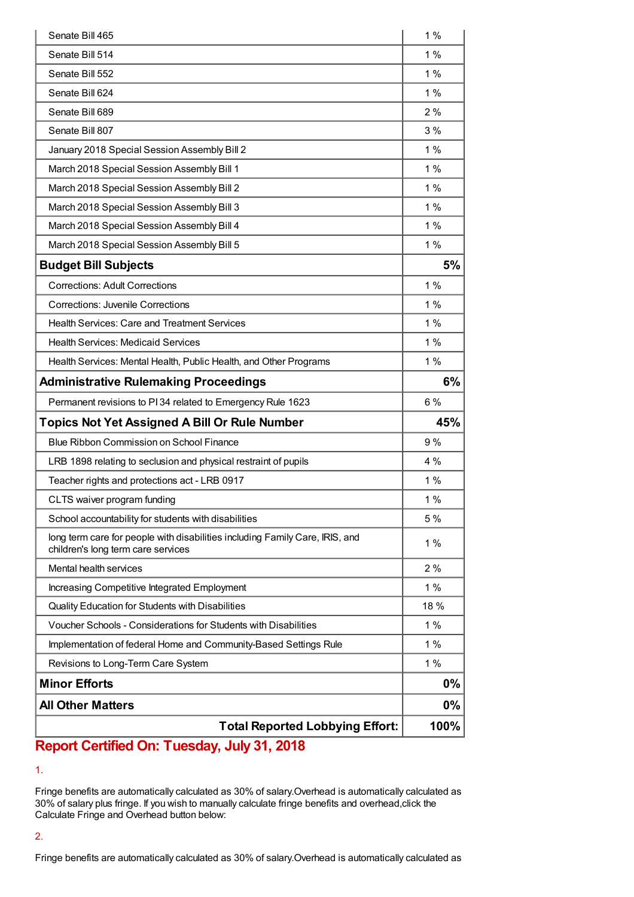| <b>Total Reported Lobbying Effort:</b>                                                                             |             |  |
|--------------------------------------------------------------------------------------------------------------------|-------------|--|
| <b>All Other Matters</b>                                                                                           | 0%          |  |
| <b>Minor Efforts</b>                                                                                               | 0%          |  |
| Revisions to Long-Term Care System                                                                                 | 1%          |  |
| Implementation of federal Home and Community-Based Settings Rule                                                   | 1%          |  |
| Voucher Schools - Considerations for Students with Disabilities                                                    | 1%          |  |
| Quality Education for Students with Disabilities                                                                   | 18 %        |  |
| Increasing Competitive Integrated Employment                                                                       | 1%          |  |
| Mental health services                                                                                             | 2%          |  |
| long term care for people with disabilities including Family Care, IRIS, and<br>children's long term care services | 1%          |  |
| School accountability for students with disabilities                                                               | 5 %         |  |
| CLTS waiver program funding                                                                                        | 1 $%$       |  |
| Teacher rights and protections act - LRB 0917                                                                      | 1%          |  |
| LRB 1898 relating to seclusion and physical restraint of pupils                                                    | 4 %         |  |
| Blue Ribbon Commission on School Finance                                                                           | 9%          |  |
| <b>Topics Not Yet Assigned A Bill Or Rule Number</b>                                                               | 45%         |  |
| Permanent revisions to PI34 related to Emergency Rule 1623                                                         | 6%          |  |
| <b>Administrative Rulemaking Proceedings</b>                                                                       | 6%          |  |
| Health Services: Mental Health, Public Health, and Other Programs                                                  | 1%          |  |
| <b>Health Services: Medicaid Services</b>                                                                          | 1%          |  |
| <b>Health Services: Care and Treatment Services</b>                                                                | 1%          |  |
| <b>Corrections: Juvenile Corrections</b>                                                                           | 1%          |  |
| <b>Corrections: Adult Corrections</b>                                                                              | 1%          |  |
| <b>Budget Bill Subjects</b>                                                                                        | 5%          |  |
| March 2018 Special Session Assembly Bill 5                                                                         | 1%          |  |
| March 2018 Special Session Assembly Bill 4                                                                         | 1%          |  |
| March 2018 Special Session Assembly Bill 3                                                                         | 1 %         |  |
| March 2018 Special Session Assembly Bill 2                                                                         | 1%          |  |
| March 2018 Special Session Assembly Bill 1                                                                         | 1%          |  |
| January 2018 Special Session Assembly Bill 2                                                                       | 1%          |  |
| Senate Bill 807                                                                                                    | 3%          |  |
| Senate Bill 689                                                                                                    | 2%          |  |
| Senate Bill 624                                                                                                    | 1%          |  |
| Senate Bill 552                                                                                                    | 1%          |  |
| Senate Bill 465<br>Senate Bill 514                                                                                 | 1%<br>$1\%$ |  |
|                                                                                                                    |             |  |

## **Report Certified On: Tuesday, July 31, 2018**

1.

Fringe benefits are automatically calculated as 30% of salary.Overhead is automatically calculated as 30% of salary plus fringe. If you wish to manually calculate fringe benefits and overhead,click the Calculate Fringe and Overhead button below:

### 2.

Fringe benefits are automatically calculated as 30% of salary.Overhead is automatically calculated as